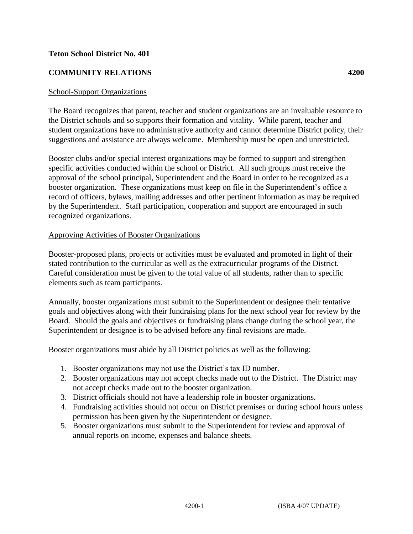### **Teton School District No. 401**

# **COMMUNITY RELATIONS 4200**

### School-Support Organizations

The Board recognizes that parent, teacher and student organizations are an invaluable resource to the District schools and so supports their formation and vitality. While parent, teacher and student organizations have no administrative authority and cannot determine District policy, their suggestions and assistance are always welcome. Membership must be open and unrestricted.

Booster clubs and/or special interest organizations may be formed to support and strengthen specific activities conducted within the school or District. All such groups must receive the approval of the school principal, Superintendent and the Board in order to be recognized as a booster organization. These organizations must keep on file in the Superintendent's office a record of officers, bylaws, mailing addresses and other pertinent information as may be required by the Superintendent. Staff participation, cooperation and support are encouraged in such recognized organizations.

### Approving Activities of Booster Organizations

Booster-proposed plans, projects or activities must be evaluated and promoted in light of their stated contribution to the curricular as well as the extracurricular programs of the District. Careful consideration must be given to the total value of all students, rather than to specific elements such as team participants.

Annually, booster organizations must submit to the Superintendent or designee their tentative goals and objectives along with their fundraising plans for the next school year for review by the Board. Should the goals and objectives or fundraising plans change during the school year, the Superintendent or designee is to be advised before any final revisions are made.

Booster organizations must abide by all District policies as well as the following:

- 1. Booster organizations may not use the District's tax ID number.
- 2. Booster organizations may not accept checks made out to the District. The District may not accept checks made out to the booster organization.
- 3. District officials should not have a leadership role in booster organizations.
- 4. Fundraising activities should not occur on District premises or during school hours unless permission has been given by the Superintendent or designee.
- 5. Booster organizations must submit to the Superintendent for review and approval of annual reports on income, expenses and balance sheets.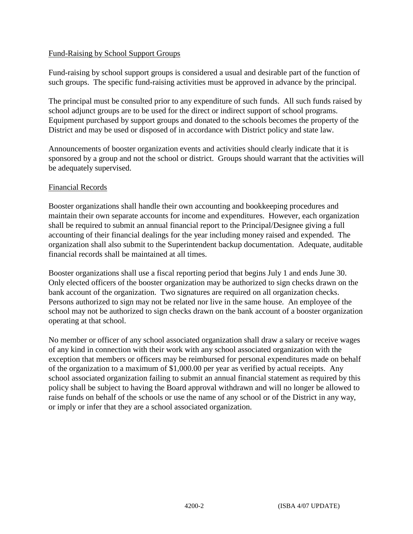## Fund-Raising by School Support Groups

Fund-raising by school support groups is considered a usual and desirable part of the function of such groups. The specific fund-raising activities must be approved in advance by the principal.

The principal must be consulted prior to any expenditure of such funds. All such funds raised by school adjunct groups are to be used for the direct or indirect support of school programs. Equipment purchased by support groups and donated to the schools becomes the property of the District and may be used or disposed of in accordance with District policy and state law.

Announcements of booster organization events and activities should clearly indicate that it is sponsored by a group and not the school or district. Groups should warrant that the activities will be adequately supervised.

### Financial Records

Booster organizations shall handle their own accounting and bookkeeping procedures and maintain their own separate accounts for income and expenditures. However, each organization shall be required to submit an annual financial report to the Principal/Designee giving a full accounting of their financial dealings for the year including money raised and expended. The organization shall also submit to the Superintendent backup documentation. Adequate, auditable financial records shall be maintained at all times.

Booster organizations shall use a fiscal reporting period that begins July 1 and ends June 30. Only elected officers of the booster organization may be authorized to sign checks drawn on the bank account of the organization. Two signatures are required on all organization checks. Persons authorized to sign may not be related nor live in the same house. An employee of the school may not be authorized to sign checks drawn on the bank account of a booster organization operating at that school.

No member or officer of any school associated organization shall draw a salary or receive wages of any kind in connection with their work with any school associated organization with the exception that members or officers may be reimbursed for personal expenditures made on behalf of the organization to a maximum of \$1,000.00 per year as verified by actual receipts. Any school associated organization failing to submit an annual financial statement as required by this policy shall be subject to having the Board approval withdrawn and will no longer be allowed to raise funds on behalf of the schools or use the name of any school or of the District in any way, or imply or infer that they are a school associated organization.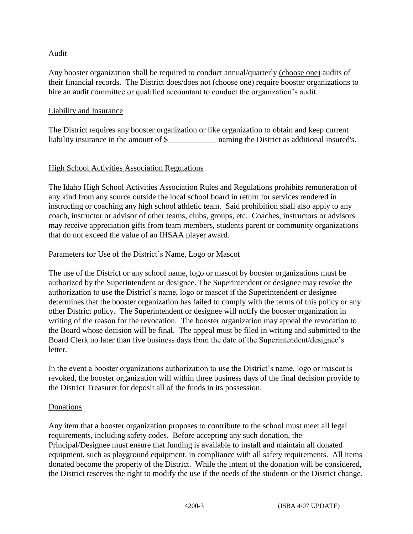## Audit

Any booster organization shall be required to conduct annual/quarterly (choose one) audits of their financial records. The District does/does not (choose one) require booster organizations to hire an audit committee or qualified accountant to conduct the organization's audit.

### Liability and Insurance

The District requires any booster organization or like organization to obtain and keep current liability insurance in the amount of \$\_\_\_\_\_\_\_\_\_\_\_\_ naming the District as additional insured's.

## High School Activities Association Regulations

The Idaho High School Activities Association Rules and Regulations prohibits remuneration of any kind from any source outside the local school board in return for services rendered in instructing or coaching any high school athletic team. Said prohibition shall also apply to any coach, instructor or advisor of other teams, clubs, groups, etc. Coaches, instructors or advisors may receive appreciation gifts from team members, students parent or community organizations that do not exceed the value of an IHSAA player award.

### Parameters for Use of the District's Name, Logo or Mascot

The use of the District or any school name, logo or mascot by booster organizations must be authorized by the Superintendent or designee. The Superintendent or designee may revoke the authorization to use the District's name, logo or mascot if the Superintendent or designee determines that the booster organization has failed to comply with the terms of this policy or any other District policy. The Superintendent or designee will notify the booster organization in writing of the reason for the revocation. The booster organization may appeal the revocation to the Board whose decision will be final. The appeal must be filed in writing and submitted to the Board Clerk no later than five business days from the date of the Superintendent/designee's letter.

In the event a booster organizations authorization to use the District's name, logo or mascot is revoked, the booster organization will within three business days of the final decision provide to the District Treasurer for deposit all of the funds in its possession.

### Donations

Any item that a booster organization proposes to contribute to the school must meet all legal requirements, including safety codes. Before accepting any such donation, the Principal/Designee must ensure that funding is available to install and maintain all donated equipment, such as playground equipment, in compliance with all safety requirements. All items donated become the property of the District. While the intent of the donation will be considered, the District reserves the right to modify the use if the needs of the students or the District change.